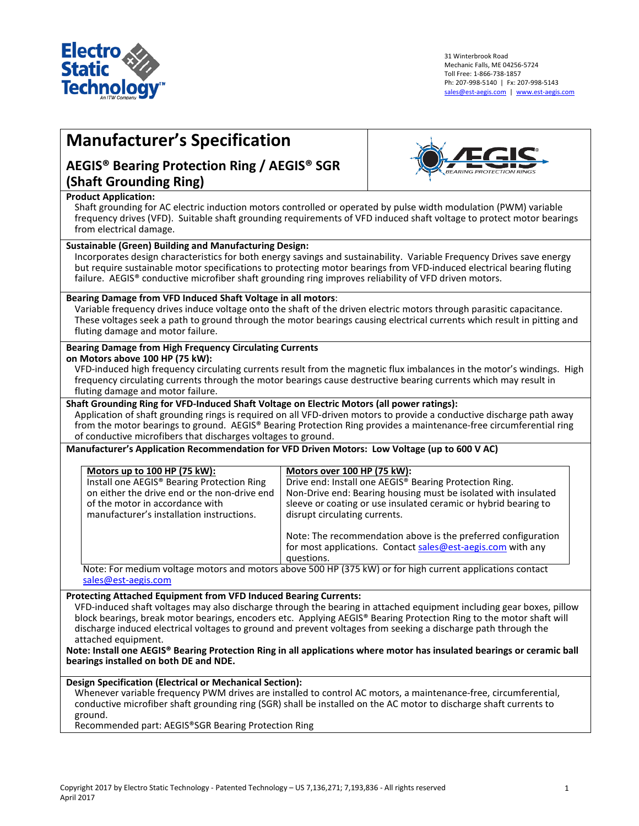

31 Winterbrook Road Mechanic Falls, ME 04256-5724 Toll Free: 1-866-738-1857 Ph: 207-998-5140 | Fx: 207-998-5143 [sales@est-aegis.com](mailto:sales@est-aegis.com) | [www.est-aegis.com](http://www.est-aegis.com/)

# **Manufacturer's Specification**

## **AEGIS® Bearing Protection Ring / AEGIS® SGR (Shaft Grounding Ring)**



#### **Product Application:**

Shaft grounding for AC electric induction motors controlled or operated by pulse width modulation (PWM) variable frequency drives (VFD). Suitable shaft grounding requirements of VFD induced shaft voltage to protect motor bearings from electrical damage.

#### **Sustainable (Green) Building and Manufacturing Design:**

Incorporates design characteristics for both energy savings and sustainability. Variable Frequency Drives save energy but require sustainable motor specifications to protecting motor bearings from VFD-induced electrical bearing fluting failure. AEGIS<sup>®</sup> conductive microfiber shaft grounding ring improves reliability of VFD driven motors.

#### **Bearing Damage from VFD Induced Shaft Voltage in all motors**:

Variable frequency drives induce voltage onto the shaft of the driven electric motors through parasitic capacitance. These voltages seek a path to ground through the motor bearings causing electrical currents which result in pitting and fluting damage and motor failure.

#### **Bearing Damage from High Frequency Circulating Currents**

**on Motors above 100 HP (75 kW):** 

VFD-induced high frequency circulating currents result from the magnetic flux imbalances in the motor's windings. High frequency circulating currents through the motor bearings cause destructive bearing currents which may result in fluting damage and motor failure.

### **Shaft Grounding Ring for VFD-Induced Shaft Voltage on Electric Motors (all power ratings):**

Application of shaft grounding rings is required on all VFD-driven motors to provide a conductive discharge path away from the motor bearings to ground. AEGIS® Bearing Protection Ring provides a maintenance-free circumferential ring of conductive microfibers that discharges voltages to ground.

#### **Manufacturer's Application Recommendation for VFD Driven Motors: Low Voltage (up to 600 V AC)**

| Motors up to 100 HP (75 kW):                 | Motors over 100 HP (75 kW):                                                                                                                |
|----------------------------------------------|--------------------------------------------------------------------------------------------------------------------------------------------|
| Install one AEGIS® Bearing Protection Ring   | Drive end: Install one AEGIS® Bearing Protection Ring.                                                                                     |
| on either the drive end or the non-drive end | Non-Drive end: Bearing housing must be isolated with insulated                                                                             |
| of the motor in accordance with              | sleeve or coating or use insulated ceramic or hybrid bearing to                                                                            |
| manufacturer's installation instructions.    | disrupt circulating currents.                                                                                                              |
|                                              | Note: The recommendation above is the preferred configuration<br>for most applications. Contact sales@est-aegis.com with any<br>questions. |

Note: For medium voltage motors and motors above 500 HP (375 kW) or for high current applications contact [sales@est-aegis.com](mailto:sales@est-aegis.com)

#### **Protecting Attached Equipment from VFD Induced Bearing Currents:**

VFD-induced shaft voltages may also discharge through the bearing in attached equipment including gear boxes, pillow block bearings, break motor bearings, encoders etc. Applying AEGIS® Bearing Protection Ring to the motor shaft will discharge induced electrical voltages to ground and prevent voltages from seeking a discharge path through the attached equipment.

**Note: Install one AEGIS® Bearing Protection Ring in all applications where motor has insulated bearings or ceramic ball bearings installed on both DE and NDE.**

**Design Specification (Electrical or Mechanical Section):**

Whenever variable frequency PWM drives are installed to control AC motors, a maintenance-free, circumferential, conductive microfiber shaft grounding ring (SGR) shall be installed on the AC motor to discharge shaft currents to ground.

Recommended part: AEGIS®SGR Bearing Protection Ring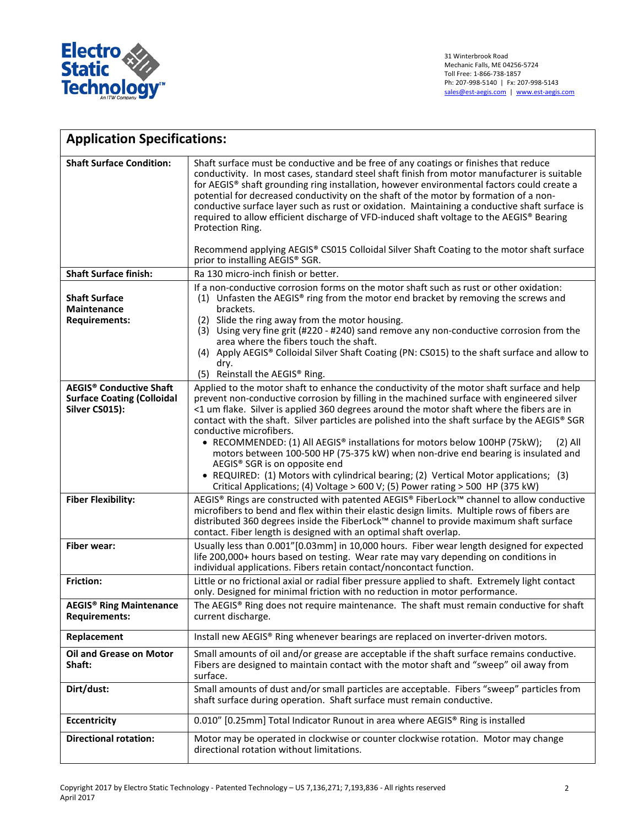

| <b>Application Specifications:</b>                                 |                                                                                                                                                                                                                                                                                                                                                                                                                                                                                                                                                                                                                                                                                                                  |
|--------------------------------------------------------------------|------------------------------------------------------------------------------------------------------------------------------------------------------------------------------------------------------------------------------------------------------------------------------------------------------------------------------------------------------------------------------------------------------------------------------------------------------------------------------------------------------------------------------------------------------------------------------------------------------------------------------------------------------------------------------------------------------------------|
| <b>Shaft Surface Condition:</b>                                    | Shaft surface must be conductive and be free of any coatings or finishes that reduce<br>conductivity. In most cases, standard steel shaft finish from motor manufacturer is suitable<br>for AEGIS® shaft grounding ring installation, however environmental factors could create a<br>potential for decreased conductivity on the shaft of the motor by formation of a non-<br>conductive surface layer such as rust or oxidation. Maintaining a conductive shaft surface is<br>required to allow efficient discharge of VFD-induced shaft voltage to the AEGIS® Bearing<br>Protection Ring.<br>Recommend applying AEGIS® CS015 Colloidal Silver Shaft Coating to the motor shaft surface                        |
| <b>Shaft Surface finish:</b>                                       | prior to installing AEGIS® SGR.<br>Ra 130 micro-inch finish or better.                                                                                                                                                                                                                                                                                                                                                                                                                                                                                                                                                                                                                                           |
|                                                                    | If a non-conductive corrosion forms on the motor shaft such as rust or other oxidation:                                                                                                                                                                                                                                                                                                                                                                                                                                                                                                                                                                                                                          |
| <b>Shaft Surface</b><br><b>Maintenance</b><br><b>Requirements:</b> | (1) Unfasten the AEGIS® ring from the motor end bracket by removing the screws and<br>brackets.<br>Slide the ring away from the motor housing.<br>(2)<br>(3) Using very fine grit (#220 - #240) sand remove any non-conductive corrosion from the<br>area where the fibers touch the shaft.<br>(4) Apply AEGIS® Colloidal Silver Shaft Coating (PN: CS015) to the shaft surface and allow to<br>dry.<br>(5) Reinstall the AEGIS® Ring.                                                                                                                                                                                                                                                                           |
| <b>AEGIS<sup>®</sup> Conductive Shaft</b>                          | Applied to the motor shaft to enhance the conductivity of the motor shaft surface and help                                                                                                                                                                                                                                                                                                                                                                                                                                                                                                                                                                                                                       |
| <b>Surface Coating (Colloidal</b><br>Silver CS015):                | prevent non-conductive corrosion by filling in the machined surface with engineered silver<br><1 um flake. Silver is applied 360 degrees around the motor shaft where the fibers are in<br>contact with the shaft. Silver particles are polished into the shaft surface by the AEGIS® SGR<br>conductive microfibers.<br>• RECOMMENDED: (1) All AEGIS® installations for motors below 100HP (75kW);<br>$(2)$ All<br>motors between 100-500 HP (75-375 kW) when non-drive end bearing is insulated and<br>AEGIS® SGR is on opposite end<br>• REQUIRED: (1) Motors with cylindrical bearing; (2) Vertical Motor applications; (3)<br>Critical Applications; (4) Voltage > 600 V; (5) Power rating > 500 HP (375 kW) |
| <b>Fiber Flexibility:</b>                                          | AEGIS® Rings are constructed with patented AEGIS® FiberLock™ channel to allow conductive<br>microfibers to bend and flex within their elastic design limits. Multiple rows of fibers are<br>distributed 360 degrees inside the FiberLock™ channel to provide maximum shaft surface<br>contact. Fiber length is designed with an optimal shaft overlap.                                                                                                                                                                                                                                                                                                                                                           |
| <b>Fiber wear:</b>                                                 | Usually less than 0.001"[0.03mm] in 10,000 hours. Fiber wear length designed for expected<br>life 200,000+ hours based on testing. Wear rate may vary depending on conditions in<br>individual applications. Fibers retain contact/noncontact function.                                                                                                                                                                                                                                                                                                                                                                                                                                                          |
| <b>Friction:</b>                                                   | Little or no frictional axial or radial fiber pressure applied to shaft. Extremely light contact<br>only. Designed for minimal friction with no reduction in motor performance.                                                                                                                                                                                                                                                                                                                                                                                                                                                                                                                                  |
| <b>AEGIS® Ring Maintenance</b><br><b>Requirements:</b>             | The AEGIS® Ring does not require maintenance. The shaft must remain conductive for shaft<br>current discharge.                                                                                                                                                                                                                                                                                                                                                                                                                                                                                                                                                                                                   |
| Replacement                                                        | Install new AEGIS® Ring whenever bearings are replaced on inverter-driven motors.                                                                                                                                                                                                                                                                                                                                                                                                                                                                                                                                                                                                                                |
| <b>Oil and Grease on Motor</b><br>Shaft:                           | Small amounts of oil and/or grease are acceptable if the shaft surface remains conductive.<br>Fibers are designed to maintain contact with the motor shaft and "sweep" oil away from<br>surface.                                                                                                                                                                                                                                                                                                                                                                                                                                                                                                                 |
| Dirt/dust:                                                         | Small amounts of dust and/or small particles are acceptable. Fibers "sweep" particles from<br>shaft surface during operation. Shaft surface must remain conductive.                                                                                                                                                                                                                                                                                                                                                                                                                                                                                                                                              |
| <b>Eccentricity</b>                                                | 0.010" [0.25mm] Total Indicator Runout in area where AEGIS® Ring is installed                                                                                                                                                                                                                                                                                                                                                                                                                                                                                                                                                                                                                                    |
| <b>Directional rotation:</b>                                       | Motor may be operated in clockwise or counter clockwise rotation. Motor may change<br>directional rotation without limitations.                                                                                                                                                                                                                                                                                                                                                                                                                                                                                                                                                                                  |